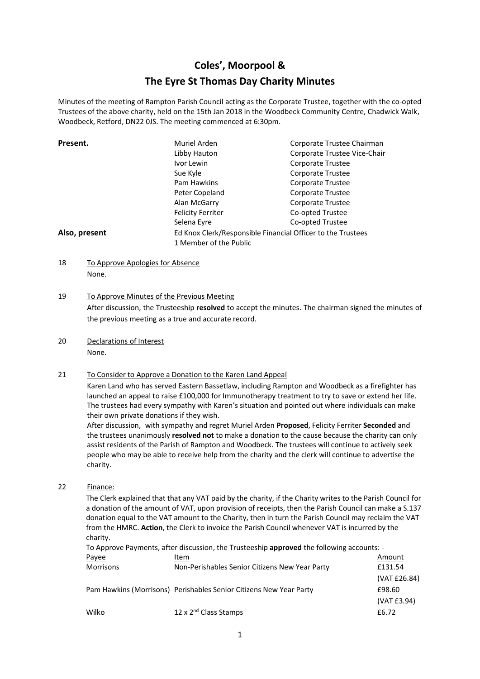# **Coles', Moorpool & The Eyre St Thomas Day Charity Minutes**

Minutes of the meeting of Rampton Parish Council acting as the Corporate Trustee, together with the co-opted Trustees of the above charity, held on the 15th Jan 2018 in the Woodbeck Community Centre, Chadwick Walk, Woodbeck, Retford, DN22 0JS. The meeting commenced at 6:30pm.

| Present.      | Muriel Arden                                                | Corporate Trustee Chairman   |  |
|---------------|-------------------------------------------------------------|------------------------------|--|
|               | Libby Hauton                                                | Corporate Trustee Vice-Chair |  |
|               | Ivor Lewin                                                  | Corporate Trustee            |  |
|               | Sue Kyle                                                    | Corporate Trustee            |  |
|               | Pam Hawkins                                                 | Corporate Trustee            |  |
|               | Peter Copeland                                              | Corporate Trustee            |  |
|               | Alan McGarry                                                | Corporate Trustee            |  |
|               | <b>Felicity Ferriter</b>                                    | Co-opted Trustee             |  |
|               | Selena Eyre                                                 | Co-opted Trustee             |  |
| Also, present | Ed Knox Clerk/Responsible Financial Officer to the Trustees |                              |  |
|               | 1 Member of the Public                                      |                              |  |

18 To Approve Apologies for Absence None.

## 19 To Approve Minutes of the Previous Meeting

After discussion, the Trusteeship **resolved** to accept the minutes. The chairman signed the minutes of the previous meeting as a true and accurate record.

20 Declarations of Interest None.

## 21 To Consider to Approve a Donation to the Karen Land Appeal

Karen Land who has served Eastern Bassetlaw, including Rampton and Woodbeck as a firefighter has launched an appeal to raise £100,000 for Immunotherapy treatment to try to save or extend her life. The trustees had every sympathy with Karen's situation and pointed out where individuals can make their own private donations if they wish.

After discussion, with sympathy and regret Muriel Arden **Proposed**, Felicity Ferriter **Seconded** and the trustees unanimously **resolved not** to make a donation to the cause because the charity can only assist residents of the Parish of Rampton and Woodbeck. The trustees will continue to actively seek people who may be able to receive help from the charity and the clerk will continue to advertise the charity.

22 Finance:

The Clerk explained that that any VAT paid by the charity, if the Charity writes to the Parish Council for a donation of the amount of VAT, upon provision of receipts, then the Parish Council can make a S.137 donation equal to the VAT amount to the Charity, then in turn the Parish Council may reclaim the VAT from the HMRC. **Action**, the Clerk to invoice the Parish Council whenever VAT is incurred by the charity.

To Approve Payments, after discussion, the Trusteeship **approved** the following accounts: -

| Payee            | Item                                                               | Amount       |
|------------------|--------------------------------------------------------------------|--------------|
| <b>Morrisons</b> | Non-Perishables Senior Citizens New Year Party                     | £131.54      |
|                  |                                                                    | (VAT £26.84) |
|                  | Pam Hawkins (Morrisons) Perishables Senior Citizens New Year Party | £98.60       |
|                  |                                                                    | (VAT £3.94)  |
| Wilko            | 12 x 2 <sup>nd</sup> Class Stamps                                  | £6.72        |